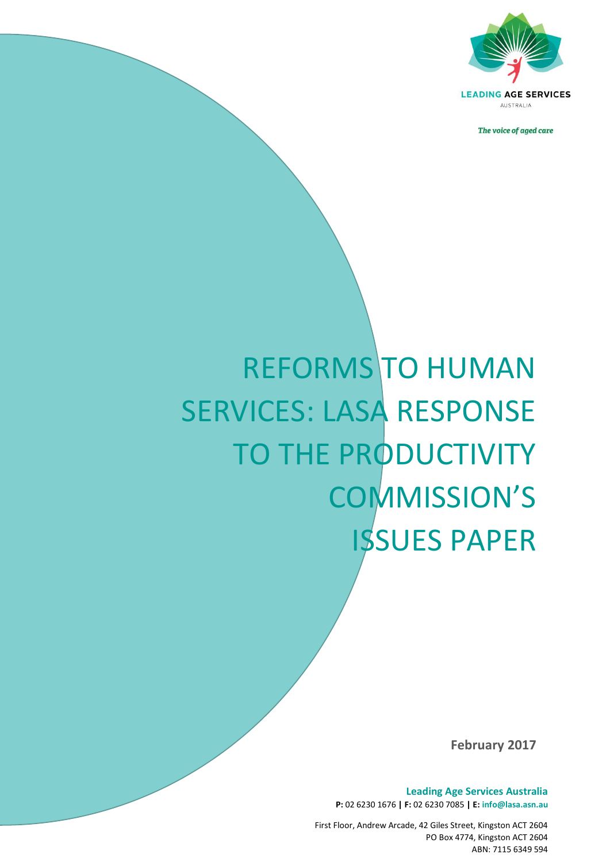

The voice of aged care

# REFORMS TO HUMAN SERVICES: LASA RESPONSE TO THE PRODUCTIVITY COMMISSION'S ISSUES PAPER

*The voice of aged care*

**February 2017**

**Leading Age Services Australia P:** 02 6230 1676 **| F:** 02 6230 7085 **| E: info@lasa.asn.au**

First Floor, Andrew Arcade, 42 Giles Street, Kingston ACT 2604 PO Box 4774, Kingston ACT 2604 ABN: 7115 6349 594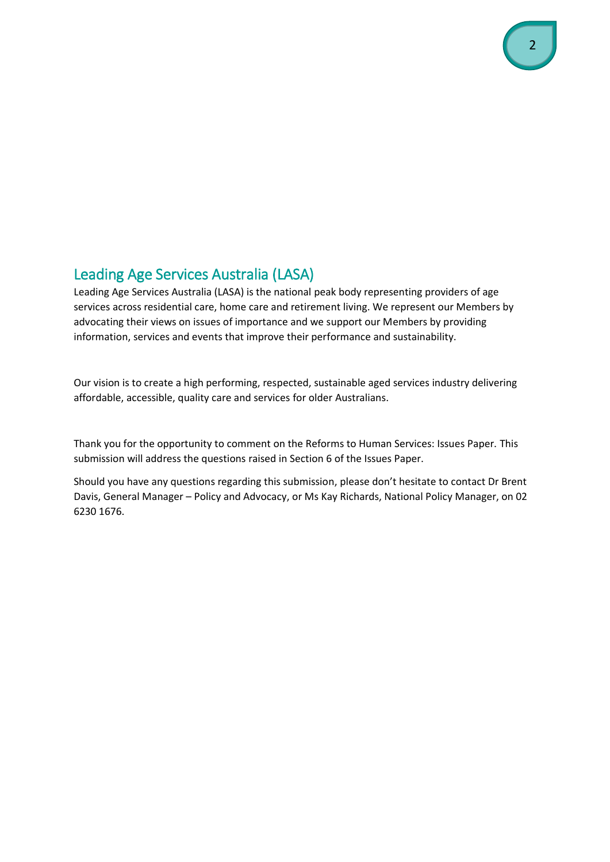# <span id="page-1-0"></span>Leading Age Services Australia (LASA)

Leading Age Services Australia (LASA) is the national peak body representing providers of age services across residential care, home care and retirement living. We represent our Members by advocating their views on issues of importance and we support our Members by providing information, services and events that improve their performance and sustainability.

Our vision is to create a high performing, respected, sustainable aged services industry delivering affordable, accessible, quality care and services for older Australians.

Thank you for the opportunity to comment on the Reforms to Human Services: Issues Paper. This submission will address the questions raised in Section 6 of the Issues Paper.

Should you have any questions regarding this submission, please don't hesitate to contact Dr Brent Davis, General Manager – Policy and Advocacy, or Ms Kay Richards, National Policy Manager, on 02 6230 1676.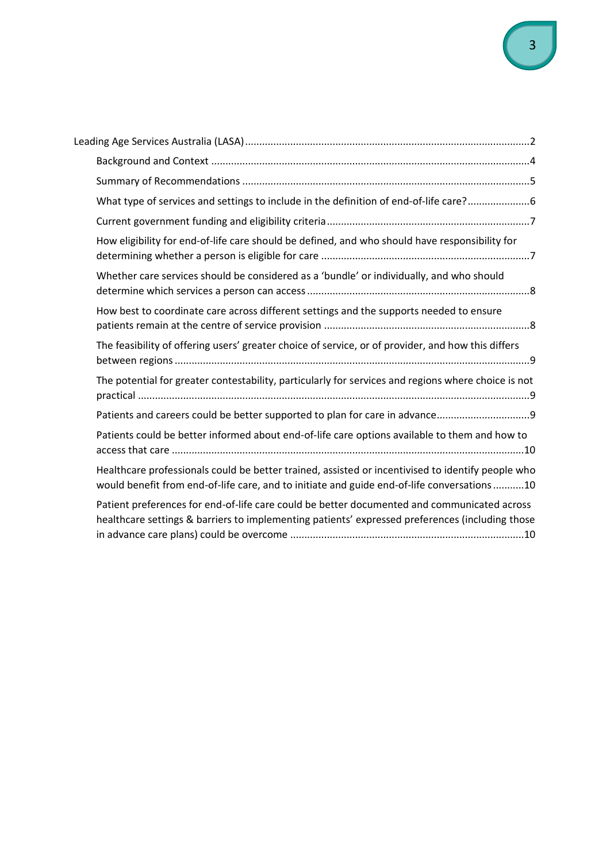| What type of services and settings to include in the definition of end-of-life care?                                                                                                                                                                    |  |
|---------------------------------------------------------------------------------------------------------------------------------------------------------------------------------------------------------------------------------------------------------|--|
|                                                                                                                                                                                                                                                         |  |
| How eligibility for end-of-life care should be defined, and who should have responsibility for                                                                                                                                                          |  |
| Whether care services should be considered as a 'bundle' or individually, and who should                                                                                                                                                                |  |
| How best to coordinate care across different settings and the supports needed to ensure                                                                                                                                                                 |  |
| The feasibility of offering users' greater choice of service, or of provider, and how this differs                                                                                                                                                      |  |
| The potential for greater contestability, particularly for services and regions where choice is not                                                                                                                                                     |  |
|                                                                                                                                                                                                                                                         |  |
| Patients could be better informed about end-of-life care options available to them and how to                                                                                                                                                           |  |
| Healthcare professionals could be better trained, assisted or incentivised to identify people who<br>would benefit from end-of-life care, and to initiate and guide end-of-life conversations 10                                                        |  |
| Patient preferences for end-of-life care could be better documented and communicated across<br>. This is a contract of the state of the figure states of the state of a constant of $\mathcal{L}$ and $\mathcal{L}$ and $\mathcal{L}$ and $\mathcal{L}$ |  |

[healthcare settings & barriers to implementing patients' expressed preferences \(including](#page-9-2) those in advance care plans) could be overcome [...................................................................................10](#page-9-2)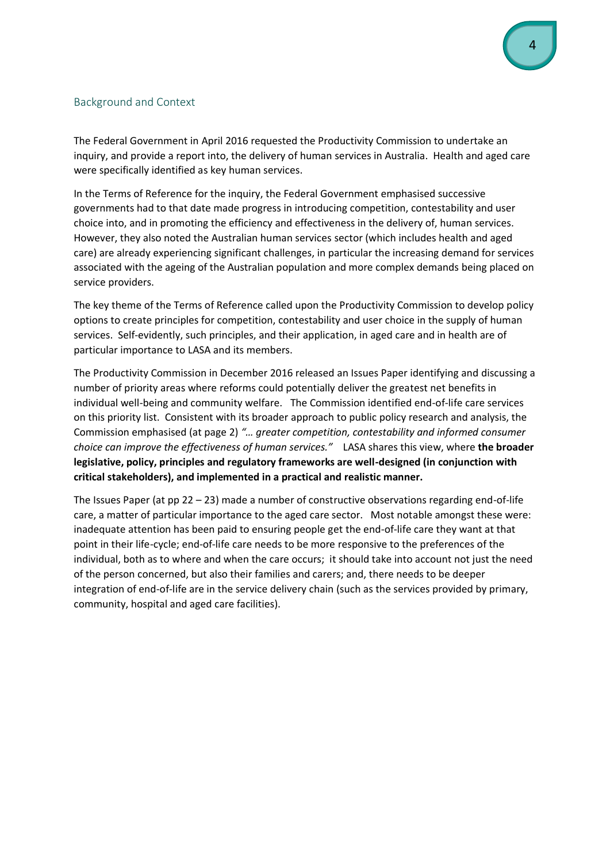#### <span id="page-3-0"></span>Background and Context

The Federal Government in April 2016 requested the Productivity Commission to undertake an inquiry, and provide a report into, the delivery of human services in Australia. Health and aged care were specifically identified as key human services.

In the Terms of Reference for the inquiry, the Federal Government emphasised successive governments had to that date made progress in introducing competition, contestability and user choice into, and in promoting the efficiency and effectiveness in the delivery of, human services. However, they also noted the Australian human services sector (which includes health and aged care) are already experiencing significant challenges, in particular the increasing demand for services associated with the ageing of the Australian population and more complex demands being placed on service providers.

The key theme of the Terms of Reference called upon the Productivity Commission to develop policy options to create principles for competition, contestability and user choice in the supply of human services. Self-evidently, such principles, and their application, in aged care and in health are of particular importance to LASA and its members.

The Productivity Commission in December 2016 released an Issues Paper identifying and discussing a number of priority areas where reforms could potentially deliver the greatest net benefits in individual well-being and community welfare. The Commission identified end-of-life care services on this priority list. Consistent with its broader approach to public policy research and analysis, the Commission emphasised (at page 2) *"… greater competition, contestability and informed consumer choice can improve the effectiveness of human services."* LASA shares this view, where **the broader legislative, policy, principles and regulatory frameworks are well-designed (in conjunction with critical stakeholders), and implemented in a practical and realistic manner.**

The Issues Paper (at pp 22 – 23) made a number of constructive observations regarding end-of-life care, a matter of particular importance to the aged care sector. Most notable amongst these were: inadequate attention has been paid to ensuring people get the end-of-life care they want at that point in their life-cycle; end-of-life care needs to be more responsive to the preferences of the individual, both as to where and when the care occurs; it should take into account not just the need of the person concerned, but also their families and carers; and, there needs to be deeper integration of end-of-life are in the service delivery chain (such as the services provided by primary, community, hospital and aged care facilities).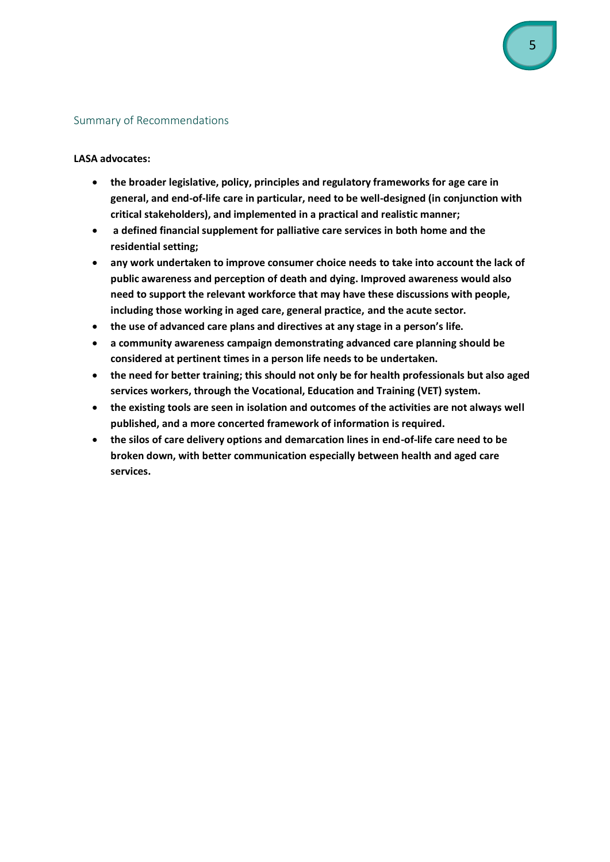#### <span id="page-4-0"></span>Summary of Recommendations

#### **LASA advocates:**

- **the broader legislative, policy, principles and regulatory frameworks for age care in general, and end-of-life care in particular, need to be well-designed (in conjunction with critical stakeholders), and implemented in a practical and realistic manner;**
- **a defined financial supplement for palliative care services in both home and the residential setting;**
- **any work undertaken to improve consumer choice needs to take into account the lack of public awareness and perception of death and dying. Improved awareness would also need to support the relevant workforce that may have these discussions with people, including those working in aged care, general practice, and the acute sector.**
- **the use of advanced care plans and directives at any stage in a person's life.**
- **a community awareness campaign demonstrating advanced care planning should be considered at pertinent times in a person life needs to be undertaken.**
- **the need for better training; this should not only be for health professionals but also aged services workers, through the Vocational, Education and Training (VET) system.**
- **the existing tools are seen in isolation and outcomes of the activities are not always well published, and a more concerted framework of information is required.**
- **the silos of care delivery options and demarcation lines in end-of-life care need to be broken down, with better communication especially between health and aged care services.**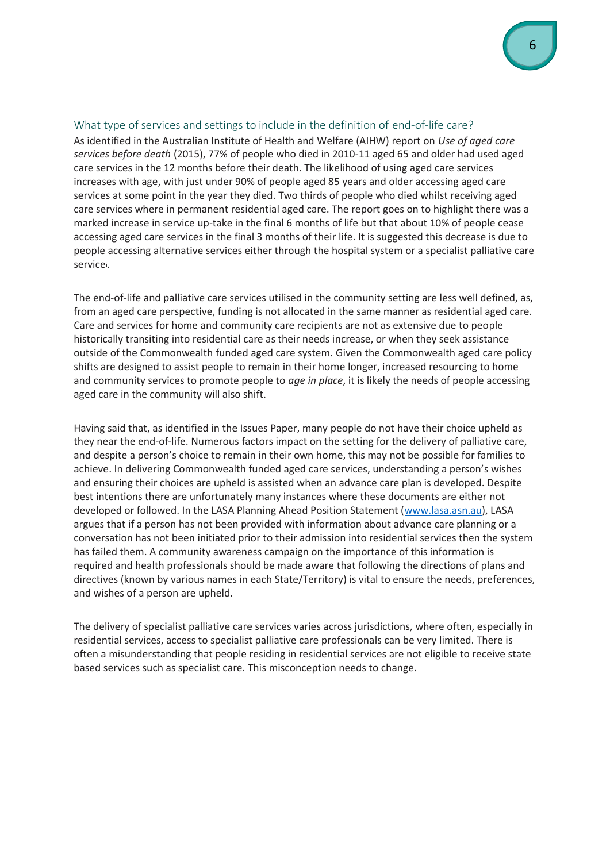#### <span id="page-5-0"></span>What type of services and settings to include in the definition of end-of-life care?

As identified in the Australian Institute of Health and Welfare (AIHW) report on *Use of aged care services before death* (2015), 77% of people who died in 2010-11 aged 65 and older had used aged care services in the 12 months before their death. The likelihood of using aged care services increases with age, with just under 90% of people aged 85 years and older accessing aged care services at some point in the year they died. Two thirds of people who died whilst receiving aged care services where in permanent residential aged care. The report goes on to highlight there was a marked increase in service up-take in the final 6 months of life but that about 10% of people cease accessing aged care services in the final 3 months of their life. It is suggested this decrease is due to people accessing alternative services either through the hospital system or a specialist palliative care servicei.

The end-of-life and palliative care services utilised in the community setting are less well defined, as, from an aged care perspective, funding is not allocated in the same manner as residential aged care. Care and services for home and community care recipients are not as extensive due to people historically transiting into residential care as their needs increase, or when they seek assistance outside of the Commonwealth funded aged care system. Given the Commonwealth aged care policy shifts are designed to assist people to remain in their home longer, increased resourcing to home and community services to promote people to *age in place*, it is likely the needs of people accessing aged care in the community will also shift.

Having said that, as identified in the Issues Paper, many people do not have their choice upheld as they near the end-of-life. Numerous factors impact on the setting for the delivery of palliative care, and despite a person's choice to remain in their own home, this may not be possible for families to achieve. In delivering Commonwealth funded aged care services, understanding a person's wishes and ensuring their choices are upheld is assisted when an advance care plan is developed. Despite best intentions there are unfortunately many instances where these documents are either not developed or followed. In the LASA Planning Ahead Position Statement [\(www.lasa.asn.au\)](http://www.lasa.asn.au/), LASA argues that if a person has not been provided with information about advance care planning or a conversation has not been initiated prior to their admission into residential services then the system has failed them. A community awareness campaign on the importance of this information is required and health professionals should be made aware that following the directions of plans and directives (known by various names in each State/Territory) is vital to ensure the needs, preferences, and wishes of a person are upheld.

The delivery of specialist palliative care services varies across jurisdictions, where often, especially in residential services, access to specialist palliative care professionals can be very limited. There is often a misunderstanding that people residing in residential services are not eligible to receive state based services such as specialist care. This misconception needs to change.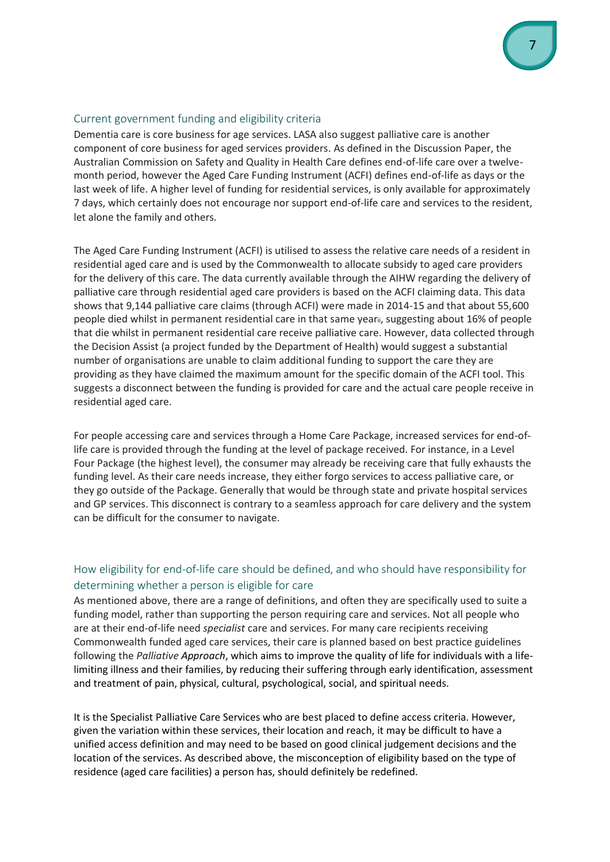#### <span id="page-6-0"></span>Current government funding and eligibility criteria

Dementia care is core business for age services. LASA also suggest palliative care is another component of core business for aged services providers. As defined in the Discussion Paper, the Australian Commission on Safety and Quality in Health Care defines end-of-life care over a twelvemonth period, however the Aged Care Funding Instrument (ACFI) defines end-of-life as days or the last week of life. A higher level of funding for residential services, is only available for approximately 7 days, which certainly does not encourage nor support end-of-life care and services to the resident, let alone the family and others.

The Aged Care Funding Instrument (ACFI) is utilised to assess the relative care needs of a resident in residential aged care and is used by the Commonwealth to allocate subsidy to aged care providers for the delivery of this care. The data currently available through the AIHW regarding the delivery of palliative care through residential aged care providers is based on the ACFI claiming data. This data shows that 9,144 palliative care claims (through ACFI) were made in 2014-15 and that about 55,600 people died whilst in permanent residential care in that same yearii, suggesting about 16% of people that die whilst in permanent residential care receive palliative care. However, data collected through the Decision Assist (a project funded by the Department of Health) would suggest a substantial number of organisations are unable to claim additional funding to support the care they are providing as they have claimed the maximum amount for the specific domain of the ACFI tool. This suggests a disconnect between the funding is provided for care and the actual care people receive in residential aged care.

For people accessing care and services through a Home Care Package, increased services for end-oflife care is provided through the funding at the level of package received. For instance, in a Level Four Package (the highest level), the consumer may already be receiving care that fully exhausts the funding level. As their care needs increase, they either forgo services to access palliative care, or they go outside of the Package. Generally that would be through state and private hospital services and GP services. This disconnect is contrary to a seamless approach for care delivery and the system can be difficult for the consumer to navigate.

## <span id="page-6-1"></span>How eligibility for end-of-life care should be defined, and who should have responsibility for determining whether a person is eligible for care

As mentioned above, there are a range of definitions, and often they are specifically used to suite a funding model, rather than supporting the person requiring care and services. Not all people who are at their end-of-life need *specialist* care and services. For many care recipients receiving Commonwealth funded aged care services, their care is planned based on best practice guidelines following the *Palliative Approach*, which aims to improve the quality of life for individuals with a lifelimiting illness and their families, by reducing their suffering through early identification, assessment and treatment of pain, physical, cultural, psychological, social, and spiritual needs.

It is the Specialist Palliative Care Services who are best placed to define access criteria. However, given the variation within these services, their location and reach, it may be difficult to have a unified access definition and may need to be based on good clinical judgement decisions and the location of the services. As described above, the misconception of eligibility based on the type of residence (aged care facilities) a person has, should definitely be redefined.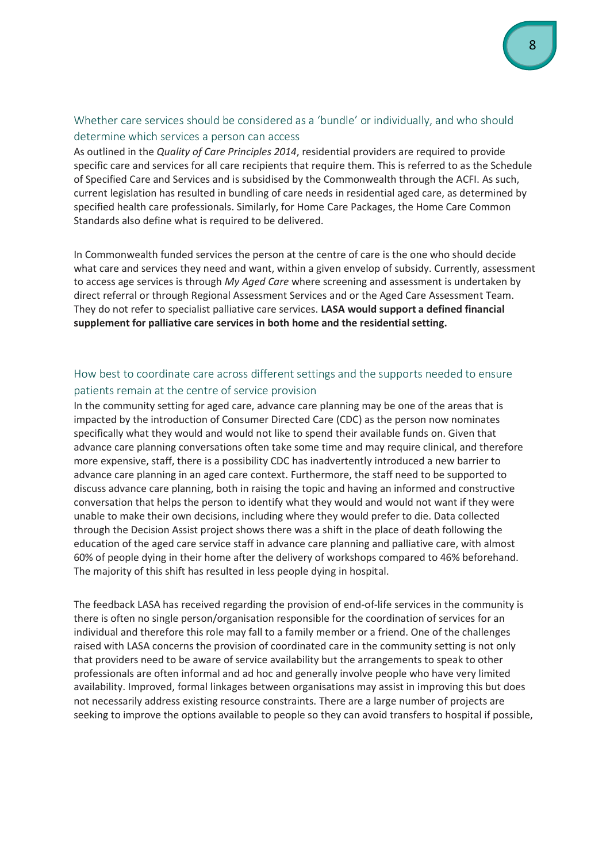### <span id="page-7-0"></span>Whether care services should be considered as a 'bundle' or individually, and who should determine which services a person can access

As outlined in the *Quality of Care Principles 2014*, residential providers are required to provide specific care and services for all care recipients that require them. This is referred to as the Schedule of Specified Care and Services and is subsidised by the Commonwealth through the ACFI. As such, current legislation has resulted in bundling of care needs in residential aged care, as determined by specified health care professionals. Similarly, for Home Care Packages, the Home Care Common Standards also define what is required to be delivered.

In Commonwealth funded services the person at the centre of care is the one who should decide what care and services they need and want, within a given envelop of subsidy. Currently, assessment to access age services is through *My Aged Care* where screening and assessment is undertaken by direct referral or through Regional Assessment Services and or the Aged Care Assessment Team. They do not refer to specialist palliative care services. **LASA would support a defined financial supplement for palliative care services in both home and the residential setting.**

# <span id="page-7-1"></span>How best to coordinate care across different settings and the supports needed to ensure patients remain at the centre of service provision

In the community setting for aged care, advance care planning may be one of the areas that is impacted by the introduction of Consumer Directed Care (CDC) as the person now nominates specifically what they would and would not like to spend their available funds on. Given that advance care planning conversations often take some time and may require clinical, and therefore more expensive, staff, there is a possibility CDC has inadvertently introduced a new barrier to advance care planning in an aged care context. Furthermore, the staff need to be supported to discuss advance care planning, both in raising the topic and having an informed and constructive conversation that helps the person to identify what they would and would not want if they were unable to make their own decisions, including where they would prefer to die. Data collected through the Decision Assist project shows there was a shift in the place of death following the education of the aged care service staff in advance care planning and palliative care, with almost 60% of people dying in their home after the delivery of workshops compared to 46% beforehand. The majority of this shift has resulted in less people dying in hospital.

The feedback LASA has received regarding the provision of end-of-life services in the community is there is often no single person/organisation responsible for the coordination of services for an individual and therefore this role may fall to a family member or a friend. One of the challenges raised with LASA concerns the provision of coordinated care in the community setting is not only that providers need to be aware of service availability but the arrangements to speak to other professionals are often informal and ad hoc and generally involve people who have very limited availability. Improved, formal linkages between organisations may assist in improving this but does not necessarily address existing resource constraints. There are a large number of projects are seeking to improve the options available to people so they can avoid transfers to hospital if possible,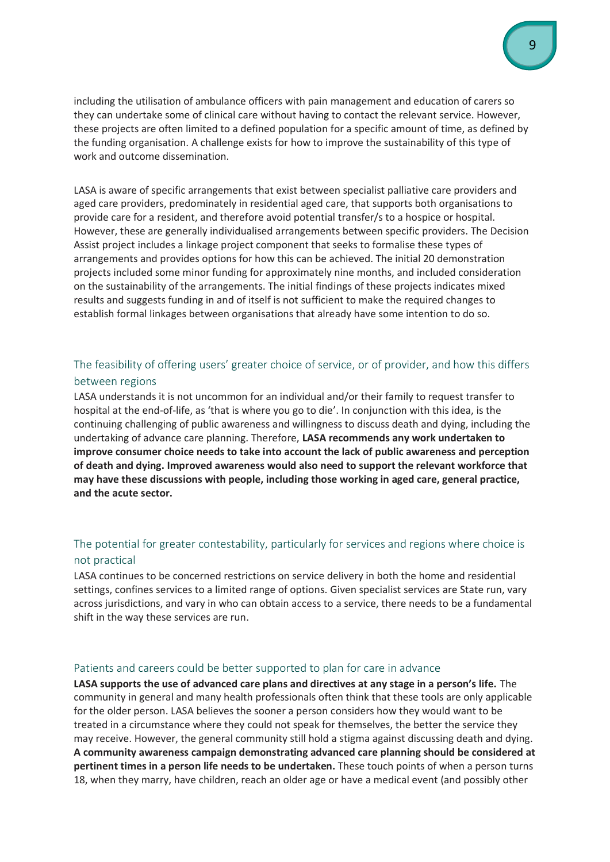including the utilisation of ambulance officers with pain management and education of carers so they can undertake some of clinical care without having to contact the relevant service. However, these projects are often limited to a defined population for a specific amount of time, as defined by the funding organisation. A challenge exists for how to improve the sustainability of this type of work and outcome dissemination.

LASA is aware of specific arrangements that exist between specialist palliative care providers and aged care providers, predominately in residential aged care, that supports both organisations to provide care for a resident, and therefore avoid potential transfer/s to a hospice or hospital. However, these are generally individualised arrangements between specific providers. The Decision Assist project includes a linkage project component that seeks to formalise these types of arrangements and provides options for how this can be achieved. The initial 20 demonstration projects included some minor funding for approximately nine months, and included consideration on the sustainability of the arrangements. The initial findings of these projects indicates mixed results and suggests funding in and of itself is not sufficient to make the required changes to establish formal linkages between organisations that already have some intention to do so.

# <span id="page-8-0"></span>The feasibility of offering users' greater choice of service, or of provider, and how this differs between regions

LASA understands it is not uncommon for an individual and/or their family to request transfer to hospital at the end-of-life, as 'that is where you go to die'. In conjunction with this idea, is the continuing challenging of public awareness and willingness to discuss death and dying, including the undertaking of advance care planning. Therefore, **LASA recommends any work undertaken to improve consumer choice needs to take into account the lack of public awareness and perception of death and dying. Improved awareness would also need to support the relevant workforce that may have these discussions with people, including those working in aged care, general practice, and the acute sector.** 

# <span id="page-8-1"></span>The potential for greater contestability, particularly for services and regions where choice is not practical

LASA continues to be concerned restrictions on service delivery in both the home and residential settings, confines services to a limited range of options. Given specialist services are State run, vary across jurisdictions, and vary in who can obtain access to a service, there needs to be a fundamental shift in the way these services are run.

#### <span id="page-8-2"></span>Patients and careers could be better supported to plan for care in advance

**LASA supports the use of advanced care plans and directives at any stage in a person's life.** The community in general and many health professionals often think that these tools are only applicable for the older person. LASA believes the sooner a person considers how they would want to be treated in a circumstance where they could not speak for themselves, the better the service they may receive. However, the general community still hold a stigma against discussing death and dying. **A community awareness campaign demonstrating advanced care planning should be considered at pertinent times in a person life needs to be undertaken.** These touch points of when a person turns 18, when they marry, have children, reach an older age or have a medical event (and possibly other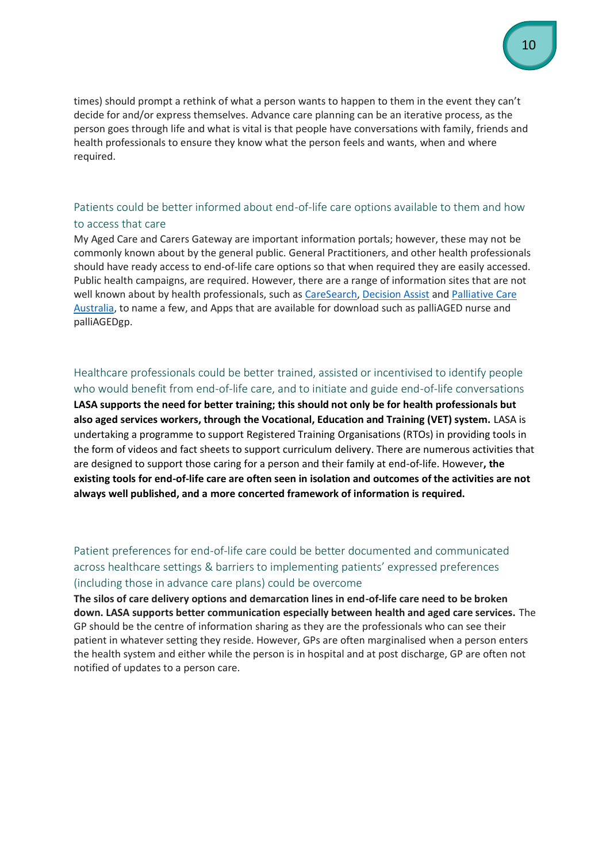times) should prompt a rethink of what a person wants to happen to them in the event they can't decide for and/or express themselves. Advance care planning can be an iterative process, as the person goes through life and what is vital is that people have conversations with family, friends and health professionals to ensure they know what the person feels and wants, when and where required.

# <span id="page-9-0"></span>Patients could be better informed about end-of-life care options available to them and how

#### to access that care

My Aged Care and Carers Gateway are important information portals; however, these may not be commonly known about by the general public. General Practitioners, and other health professionals should have ready access to end-of-life care options so that when required they are easily accessed. Public health campaigns, are required. However, there are a range of information sites that are not well known about by health professionals, such as [CareSearch, Decision Assist](https://www.caresearch.com.au/caresearch/tabid/2583/Default.aspx) and Palliative Care [Australia,](http://palliativecare.org.au/) to name a few, and Apps that are available for download such as palliAGED nurse and palliAGEDgp.

#### <span id="page-9-1"></span>Healthcare professionals could be better trained, assisted or incentivised to identify people who would benefit from end-of-life care, and to initiate and guide end-of-life conversations

**LASA supports the need for better training; this should not only be for health professionals but also aged services workers, through the Vocational, Education and Training (VET) system.** LASA is undertaking a programme to support Registered Training Organisations (RTOs) in providing tools in the form of videos and fact sheets to support curriculum delivery. There are numerous activities that are designed to support those caring for a person and their family at end-of-life. However**, the existing tools for end-of-life care are often seen in isolation and outcomes of the activities are not always well published, and a more concerted framework of information is required.**

# <span id="page-9-2"></span>Patient preferences for end-of-life care could be better documented and communicated across healthcare settings & barriers to implementing patients' expressed preferences (including those in advance care plans) could be overcome

**The silos of care delivery options and demarcation lines in end-of-life care need to be broken down. LASA supports better communication especially between health and aged care services.** The GP should be the centre of information sharing as they are the professionals who can see their patient in whatever setting they reside. However, GPs are often marginalised when a person enters the health system and either while the person is in hospital and at post discharge, GP are often not notified of updates to a person care.